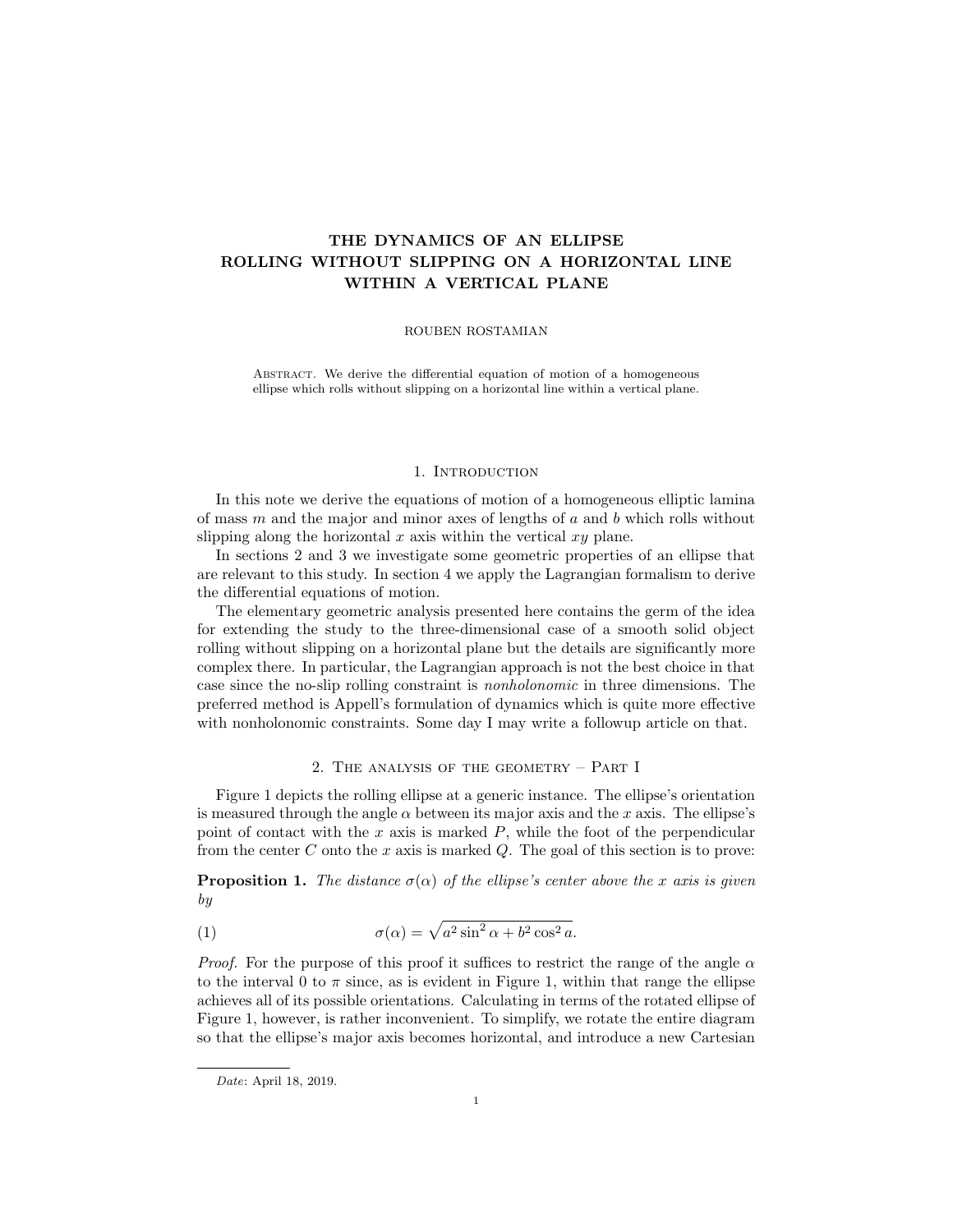# THE DYNAMICS OF AN ELLIPSE ROLLING WITHOUT SLIPPING ON A HORIZONTAL LINE WITHIN A VERTICAL PLANE

#### ROUBEN ROSTAMIAN

ABSTRACT. We derive the differential equation of motion of a homogeneous ellipse which rolls without slipping on a horizontal line within a vertical plane.

#### 1. INTRODUCTION

In this note we derive the equations of motion of a homogeneous elliptic lamina of mass  $m$  and the major and minor axes of lengths of  $a$  and  $b$  which rolls without slipping along the horizontal  $x$  axis within the vertical  $xy$  plane.

In sections 2 and 3 we investigate some geometric properties of an ellipse that are relevant to this study. In section 4 we apply the Lagrangian formalism to derive the differential equations of motion.

The elementary geometric analysis presented here contains the germ of the idea for extending the study to the three-dimensional case of a smooth solid object rolling without slipping on a horizontal plane but the details are significantly more complex there. In particular, the Lagrangian approach is not the best choice in that case since the no-slip rolling constraint is nonholonomic in three dimensions. The preferred method is Appell's formulation of dynamics which is quite more effective with nonholonomic constraints. Some day I may write a followup article on that.

### 2. The analysis of the geometry – Part I

Figure 1 depicts the rolling ellipse at a generic instance. The ellipse's orientation is measured through the angle  $\alpha$  between its major axis and the x axis. The ellipse's point of contact with the x axis is marked  $P$ , while the foot of the perpendicular from the center  $C$  onto the  $x$  axis is marked  $Q$ . The goal of this section is to prove:

**Proposition 1.** The distance  $\sigma(\alpha)$  of the ellipse's center above the x axis is given by

(1) 
$$
\sigma(\alpha) = \sqrt{a^2 \sin^2 \alpha + b^2 \cos^2 a}.
$$

*Proof.* For the purpose of this proof it suffices to restrict the range of the angle  $\alpha$ to the interval 0 to  $\pi$  since, as is evident in Figure 1, within that range the ellipse achieves all of its possible orientations. Calculating in terms of the rotated ellipse of Figure 1, however, is rather inconvenient. To simplify, we rotate the entire diagram so that the ellipse's major axis becomes horizontal, and introduce a new Cartesian

Date: April 18, 2019.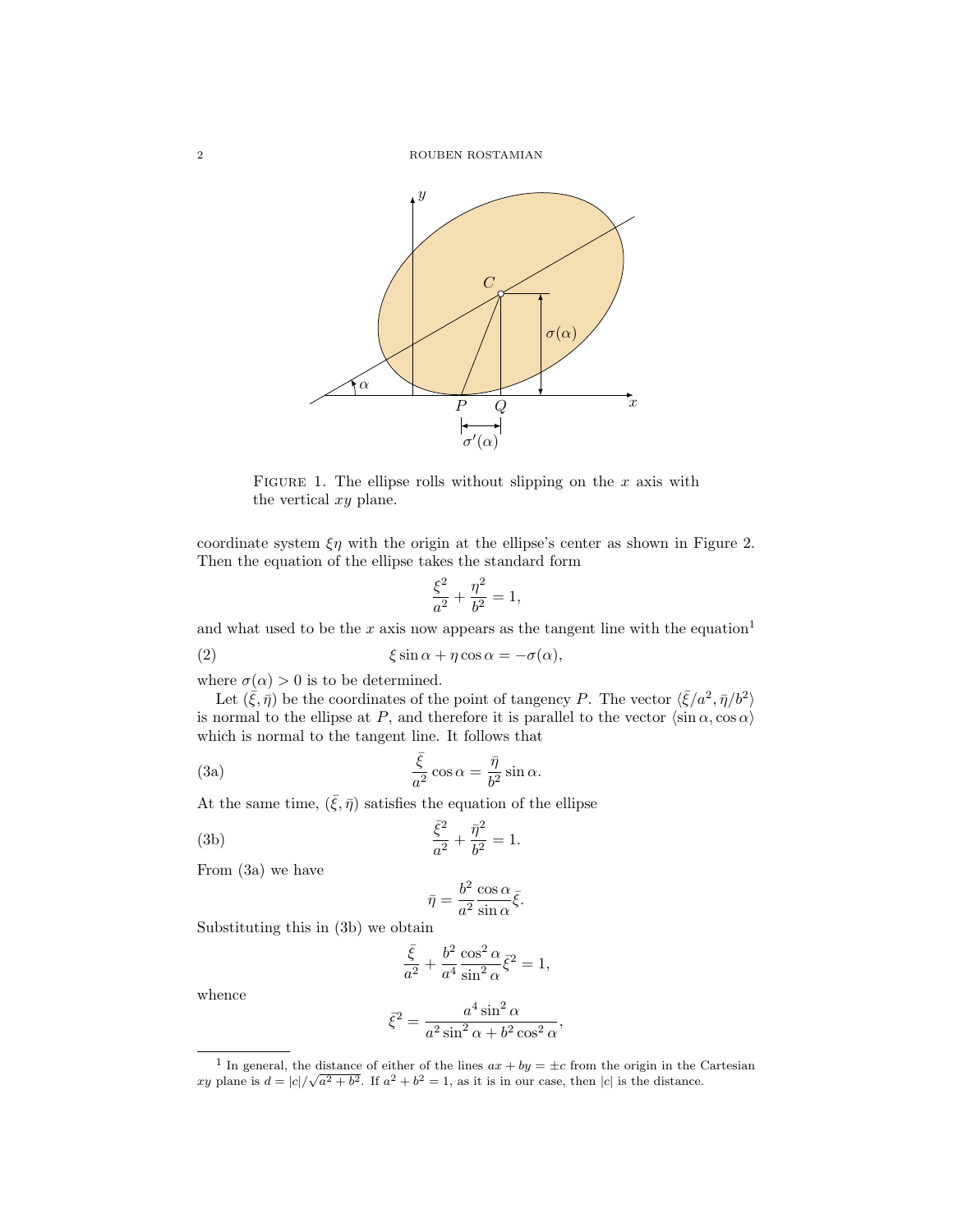

FIGURE 1. The ellipse rolls without slipping on the  $x$  axis with the vertical xy plane.

coordinate system  $\xi \eta$  with the origin at the ellipse's center as shown in Figure 2. Then the equation of the ellipse takes the standard form

$$
\frac{\xi^2}{a^2}+\frac{\eta^2}{b^2}=1,
$$

and what used to be the x axis now appears as the tangent line with the equation<sup>1</sup>

(2) 
$$
\xi \sin \alpha + \eta \cos \alpha = -\sigma(\alpha),
$$

where  $\sigma(\alpha) > 0$  is to be determined.

Let  $(\bar{\xi}, \bar{\eta})$  be the coordinates of the point of tangency P. The vector  $\langle \bar{\xi}/a^2, \bar{\eta}/b^2 \rangle$ is normal to the ellipse at P, and therefore it is parallel to the vector  $\langle \sin \alpha, \cos \alpha \rangle$ which is normal to the tangent line. It follows that

(3a) 
$$
\frac{\bar{\xi}}{a^2} \cos \alpha = \frac{\bar{\eta}}{b^2} \sin \alpha.
$$

At the same time,  $(\bar{\xi}, \bar{\eta})$  satisfies the equation of the ellipse

(3b) 
$$
\frac{\bar{\xi}^2}{a^2} + \frac{\bar{\eta}^2}{b^2} = 1.
$$

From (3a) we have

$$
\bar{\eta} = \frac{b^2}{a^2} \frac{\cos \alpha}{\sin \alpha} \bar{\xi}.
$$

Substituting this in (3b) we obtain

$$
\frac{\bar{\xi}}{a^2} + \frac{b^2}{a^4} \frac{\cos^2 \alpha}{\sin^2 \alpha} \bar{\xi}^2 = 1,
$$

whence

$$
\bar{\xi}^2 = \frac{a^4 \sin^2 \alpha}{a^2 \sin^2 \alpha + b^2 \cos^2 \alpha},
$$

<sup>&</sup>lt;sup>1</sup> In general, the distance of either of the lines  $ax + by = \pm c$  from the origin in the Cartesian xy plane is  $d = |c|/\sqrt{a^2 + b^2}$ . If  $a^2 + b^2 = 1$ , as it is in our case, then |c| is the distance.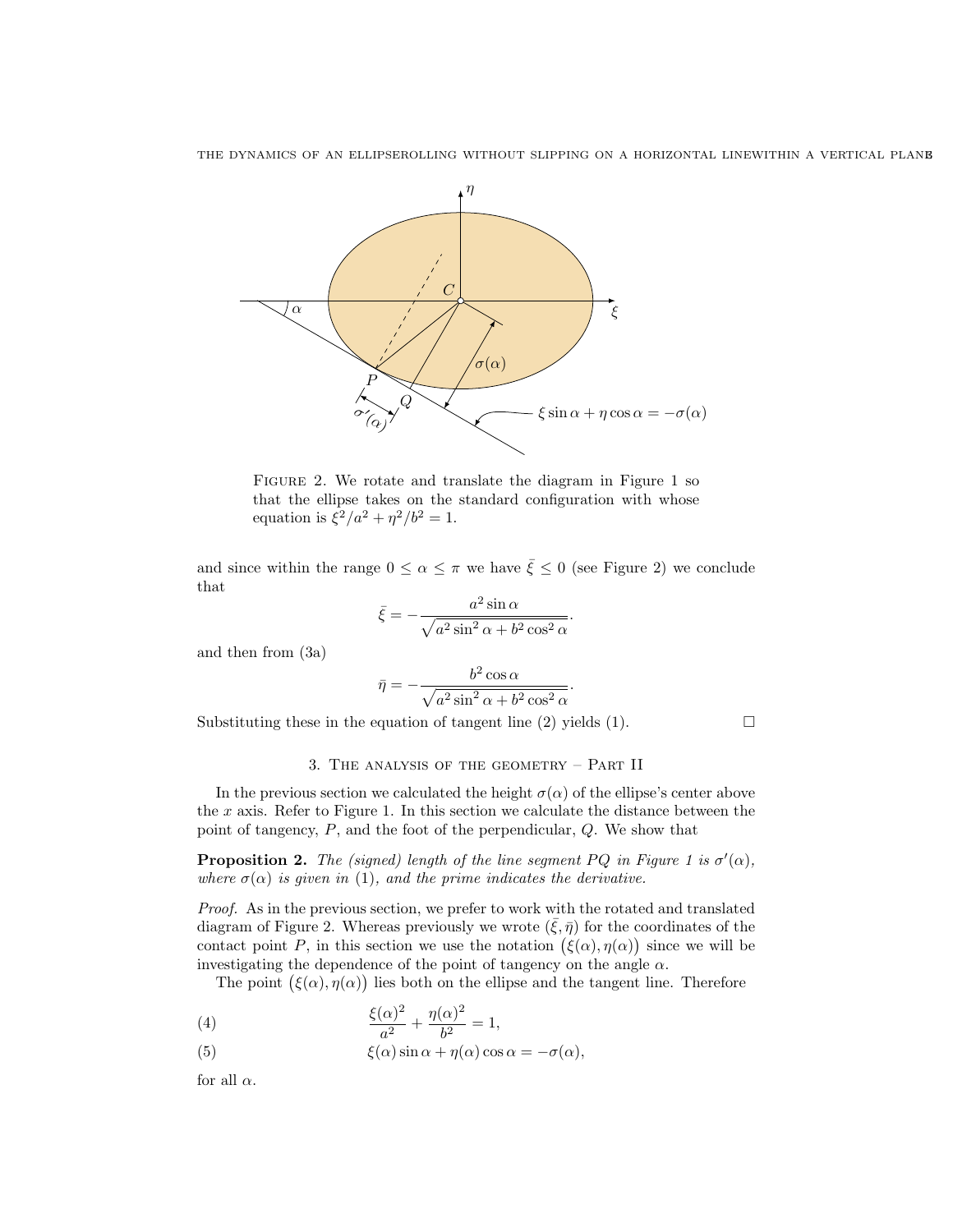

Figure 2. We rotate and translate the diagram in Figure 1 so that the ellipse takes on the standard configuration with whose equation is  $\xi^2/a^2 + \eta^2/b^2 = 1$ .

and since within the range  $0 \le \alpha \le \pi$  we have  $\bar{\xi} \le 0$  (see Figure 2) we conclude that

$$
\bar{\xi} = -\frac{a^2 \sin \alpha}{\sqrt{a^2 \sin^2 \alpha + b^2 \cos^2 \alpha}}.
$$

and then from (3a)

$$
\bar{\eta} = -\frac{b^2 \cos \alpha}{\sqrt{a^2 \sin^2 \alpha + b^2 \cos^2 \alpha}}
$$

.

Substituting these in the equation of tangent line (2) yields (1).  $\Box$ 

## 3. The analysis of the geometry – Part II

In the previous section we calculated the height  $\sigma(\alpha)$  of the ellipse's center above the  $x$  axis. Refer to Figure 1. In this section we calculate the distance between the point of tangency, P, and the foot of the perpendicular, Q. We show that

**Proposition 2.** The (signed) length of the line segment PQ in Figure 1 is  $\sigma'(\alpha)$ , where  $\sigma(\alpha)$  is given in (1), and the prime indicates the derivative.

Proof. As in the previous section, we prefer to work with the rotated and translated diagram of Figure 2. Whereas previously we wrote  $(\bar{\xi}, \bar{\eta})$  for the coordinates of the contact point P, in this section we use the notation  $(\xi(\alpha), \eta(\alpha))$  since we will be investigating the dependence of the point of tangency on the angle  $\alpha$ .

The point  $(\xi(\alpha), \eta(\alpha))$  lies both on the ellipse and the tangent line. Therefore

(4) 
$$
\frac{\xi(\alpha)^2}{a^2} + \frac{\eta(\alpha)^2}{b^2} = 1,
$$

(5) 
$$
\xi(\alpha)\sin\alpha + \eta(\alpha)\cos\alpha = -\sigma(\alpha),
$$

for all  $\alpha$ .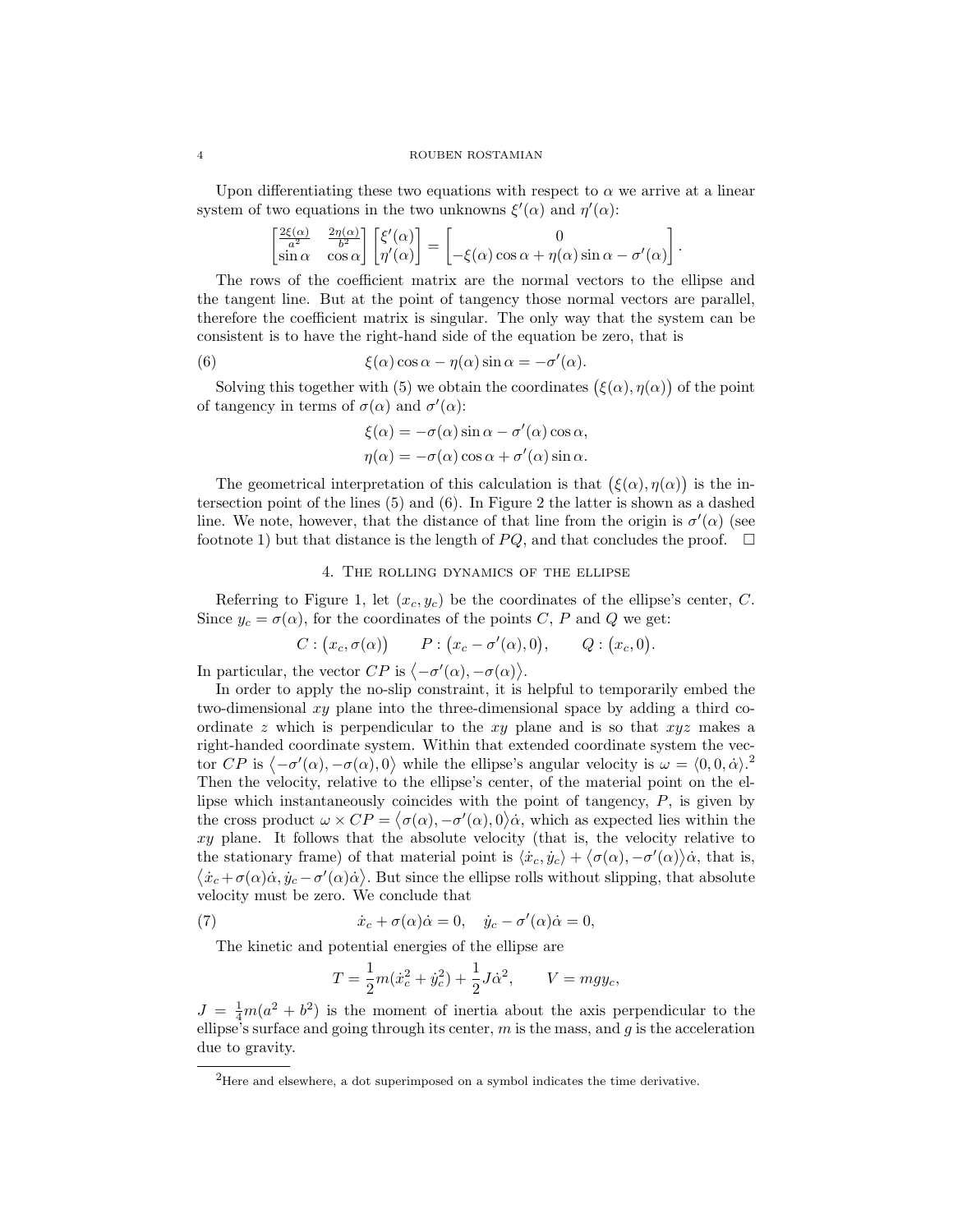#### 4 ROUBEN ROSTAMIAN

Upon differentiating these two equations with respect to  $\alpha$  we arrive at a linear system of two equations in the two unknowns  $\xi'(\alpha)$  and  $\eta'(\alpha)$ :

$$
\begin{bmatrix} \frac{2\xi(\alpha)}{a^2} & \frac{2\eta(\alpha)}{b^2} \\ \sin \alpha & \cos \alpha \end{bmatrix} \begin{bmatrix} \xi'(\alpha) \\ \eta'(\alpha) \end{bmatrix} = \begin{bmatrix} 0 \\ -\xi(\alpha) \cos \alpha + \eta(\alpha) \sin \alpha - \sigma'(\alpha) \end{bmatrix}.
$$

The rows of the coefficient matrix are the normal vectors to the ellipse and the tangent line. But at the point of tangency those normal vectors are parallel, therefore the coefficient matrix is singular. The only way that the system can be consistent is to have the right-hand side of the equation be zero, that is

(6) 
$$
\xi(\alpha)\cos\alpha - \eta(\alpha)\sin\alpha = -\sigma'(\alpha).
$$

Solving this together with (5) we obtain the coordinates  $(\xi(\alpha), \eta(\alpha))$  of the point of tangency in terms of  $\sigma(\alpha)$  and  $\sigma'(\alpha)$ :

$$
\xi(\alpha) = -\sigma(\alpha)\sin\alpha - \sigma'(\alpha)\cos\alpha,
$$
  

$$
\eta(\alpha) = -\sigma(\alpha)\cos\alpha + \sigma'(\alpha)\sin\alpha.
$$

The geometrical interpretation of this calculation is that  $(\xi(\alpha), \eta(\alpha))$  is the intersection point of the lines (5) and (6). In Figure 2 the latter is shown as a dashed line. We note, however, that the distance of that line from the origin is  $\sigma'(\alpha)$  (see footnote 1) but that distance is the length of  $PQ$ , and that concludes the proof.  $\Box$ 

### 4. The rolling dynamics of the ellipse

Referring to Figure 1, let  $(x_c, y_c)$  be the coordinates of the ellipse's center, C. Since  $y_c = \sigma(\alpha)$ , for the coordinates of the points C, P and Q we get:

$$
C: (x_c, \sigma(\alpha)) \qquad P: (x_c - \sigma'(\alpha), 0), \qquad Q: (x_c, 0).
$$

In particular, the vector  $CP$  is  $\langle -\sigma'(\alpha), -\sigma(\alpha) \rangle$ .

In order to apply the no-slip constraint, it is helpful to temporarily embed the two-dimensional  $xy$  plane into the three-dimensional space by adding a third coordinate z which is perpendicular to the  $xy$  plane and is so that  $xyz$  makes a right-handed coordinate system. Within that extended coordinate system the vector CP is  $\langle -\sigma'(\alpha), -\sigma(\alpha), 0 \rangle$  while the ellipse's angular velocity is  $\omega = \langle 0, 0, \dot{\alpha} \rangle$ . Then the velocity, relative to the ellipse's center, of the material point on the ellipse which instantaneously coincides with the point of tangency, P, is given by the cross product  $\omega \times CP = \langle \sigma(\alpha), -\sigma'(\alpha), 0 \rangle \dot{\alpha}$ , which as expected lies within the xy plane. It follows that the absolute velocity (that is, the velocity relative to the stationary frame) of that material point is  $\langle \dot{x}_c, \dot{y}_c \rangle + \langle \sigma(\alpha), -\sigma'(\alpha) \rangle \dot{\alpha}$ , that is,  $\langle \dot{x}_c+\sigma(\alpha)\dot{\alpha}, \dot{y}_c-\sigma'(\alpha)\dot{\alpha} \rangle$ . But since the ellipse rolls without slipping, that absolute velocity must be zero. We conclude that

(7) 
$$
\dot{x}_c + \sigma(\alpha)\dot{\alpha} = 0, \quad \dot{y}_c - \sigma'(\alpha)\dot{\alpha} = 0,
$$

The kinetic and potential energies of the ellipse are

$$
T = \frac{1}{2}m(\dot{x}_c^2 + \dot{y}_c^2) + \frac{1}{2}J\dot{\alpha}^2, \qquad V = mgy_c,
$$

 $J = \frac{1}{4}m(a^2 + b^2)$  is the moment of inertia about the axis perpendicular to the ellipse's surface and going through its center, m is the mass, and g is the acceleration due to gravity.

 ${}^{2}$ Here and elsewhere, a dot superimposed on a symbol indicates the time derivative.